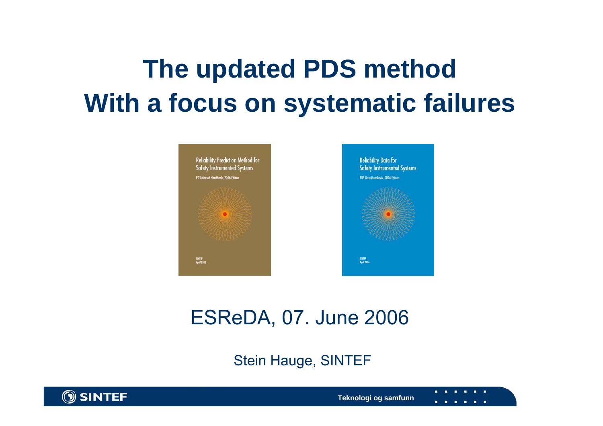# **The updated PDS method With a focus on systematic failures**



### ESReDA, 07. June 2006

### Stein Hauge, SINTEF



**Teknologi og samfunn**

. . .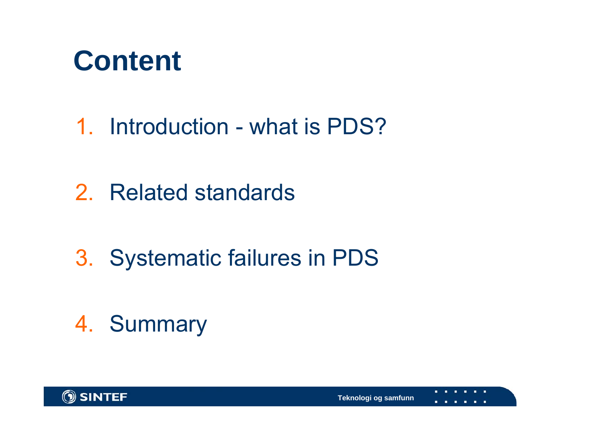

1. Introduction - what is PDS?

2. Related standards

3. Systematic failures in PDS

4. Summary

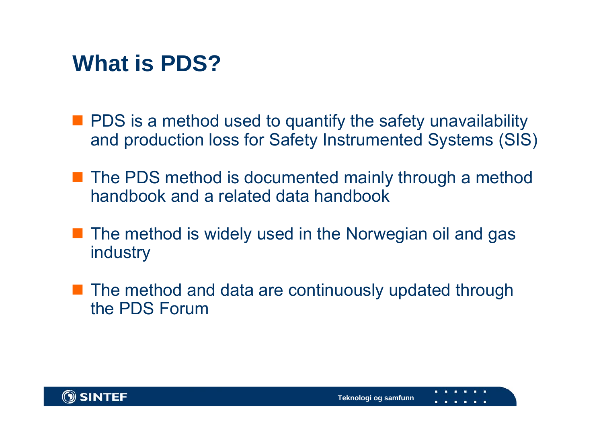### **What is PDS?**

- **PDS** is a method used to quantify the safety unavailability and production loss for Safety Instrumented Systems (SIS)
- The PDS method is documented mainly through a method handbook and a related data handbook
- **The method is widely used in the Norwegian oil and gas** industry
- The method and data are continuously updated through the PDS Forum

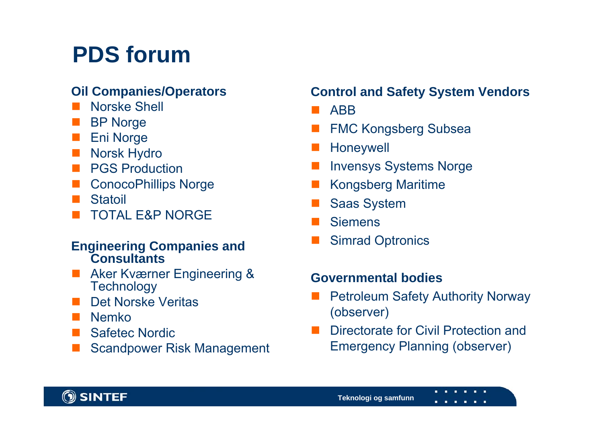## **PDS forum**

### **Oil Companies/Operators**

- $\Box$ Norske Shell
- Π BP Norge
- $\Box$ Eni Norge
- $\Box$ Norsk Hydro
- Π PGS Production
- $\Box$ ConocoPhillips Norge
- **The Contract State Statoil**
- Π TOTAL E&P NORGE

#### **Engineering Companies and Consultants**

- **Aker Kværner Engineering & Technology**
- $\overline{\phantom{a}}$ Det Norske Veritas
- Nemko
- $\Box$ Safetec Nordic
- $\overline{\phantom{a}}$ Scandpower Risk Management

### **Control and Safety System Vendors**

- **B** ABB
- $\overline{\phantom{a}}$ FMC Kongsberg Subsea
- Honeywell
- Invensys Systems Norge
- Π Kongsberg Maritime
- Saas System
- **Siemens**
- Π Simrad Optronics

### **Governmental bodies**

- $\Box$  Petroleum Safety Authority Norway (observer)
- Directorate for Civil Protection and Emergency Planning (observer)

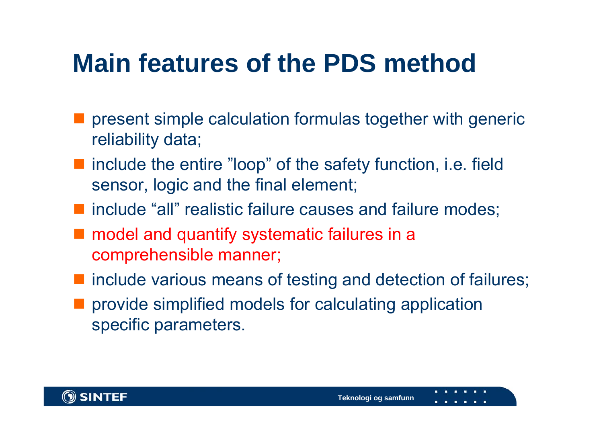# **Main features of the PDS method**

- $\mathcal{L}_{\mathcal{A}}$  present simple calculation formulas together with generic reliability data;
- include the entire "loop" of the safety function, i.e. field sensor, logic and the final element;
- **natable "all" realistic failure causes and failure modes;**
- model and quantify systematic failures in a comprehensible manner;
- **n** include various means of testing and detection of failures;
- provide simplified models for calculating application specific parameters.

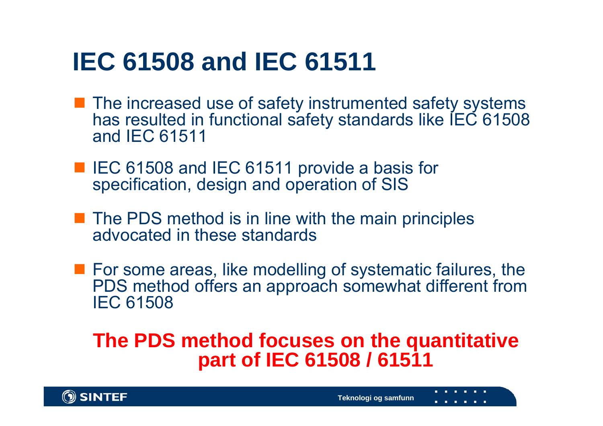## **IEC 61508 and IEC 61511**

- **The increased use of safety instrumented safety systems** has resulted in functional safety standards like IEC 61508 and IEC 61511
- IEC 61508 and IEC 61511 provide a basis for specification, design and operation of SIS
- **The PDS method is in line with the main principles** advocated in these standards
- **For some areas, like modelling of systematic failures, the** PDS method offers an approach somewhat different from IEC 61508

### **The PDS method focuses on the quantitative part of IEC 61508 / 61511**

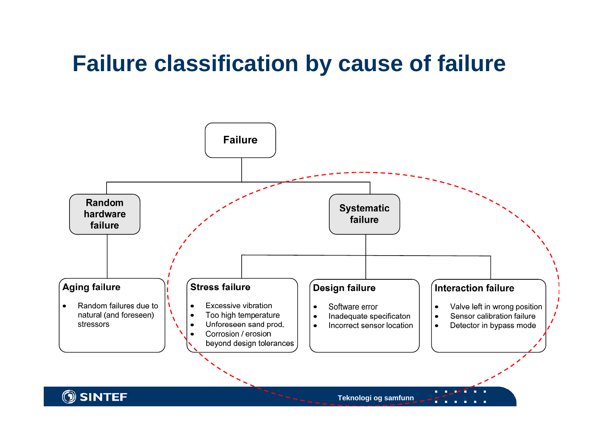### **Failure classification by cause of failure**



**Teknologi og samfunn**

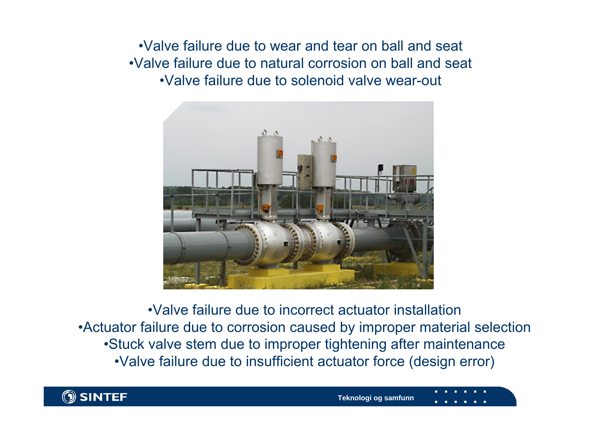•Valve failure due to wear and tear on ball and seat•Valve failure due to natural corrosion on ball and seat•Valve failure due to solenoid valve wear-out



•Valve failure due to incorrect actuator installation•Actuator failure due to corrosion caused by improper material selection •Stuck valve stem due to improper tightening after maintenance •Valve failure due to insufficient actuator force (design error)

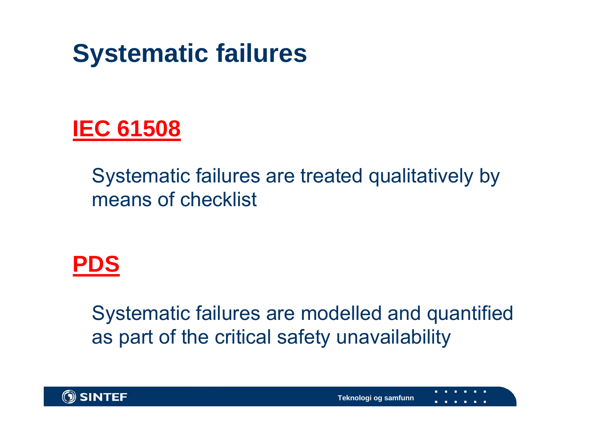



Systematic failures are treated qualitatively by means of checklist



Systematic failures are modelled and quantified as part of the critical safety unavailability

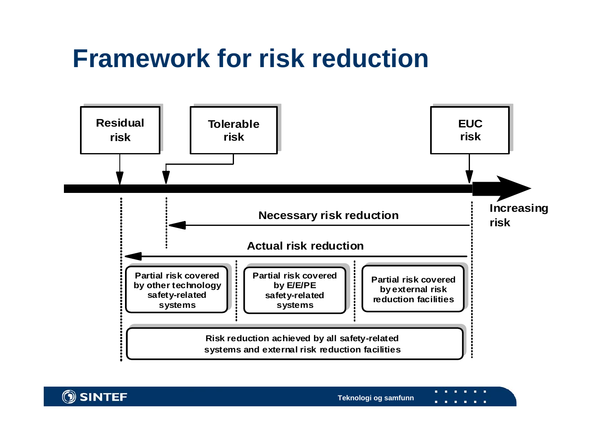## **Framework for risk reduction**





**State State**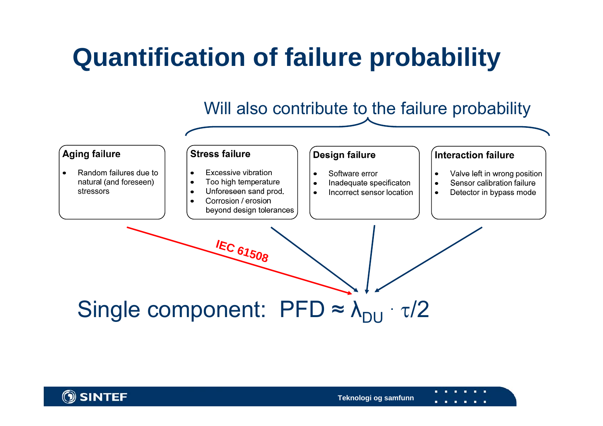# **Quantification of failure probability**

### Will also contribute to the failure probability



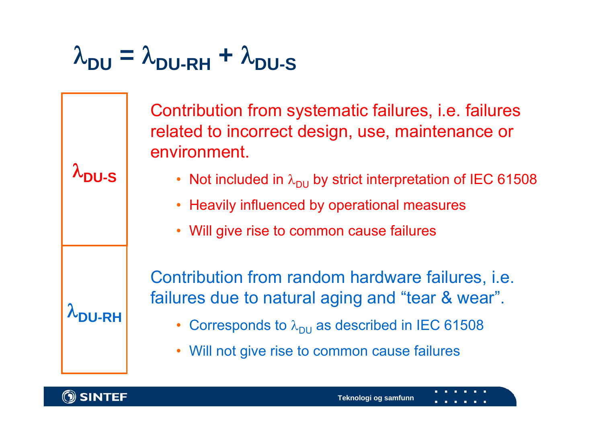# $\lambda_\mathsf{DU} = \lambda_\mathsf{DU-RH} + \lambda_\mathsf{DU-S}$

Contribution from systematic failures, i.e. failures related to incorrect design, use, maintenance or environment.

- Not included in  $\lambda_\mathsf{DU}$  by strict interpretation of IEC 61508
- Heavily influenced by operational measures
- Will give rise to common cause failures

Contribution from random hardware failures, i.e. failures due to natural aging and "tear & wear".

- Corresponds to  $\lambda_{\sf DU}$  as described in IEC 61508
- Will not give rise to common cause failures



 $\lambda$ DU-RH

λ**DU-S**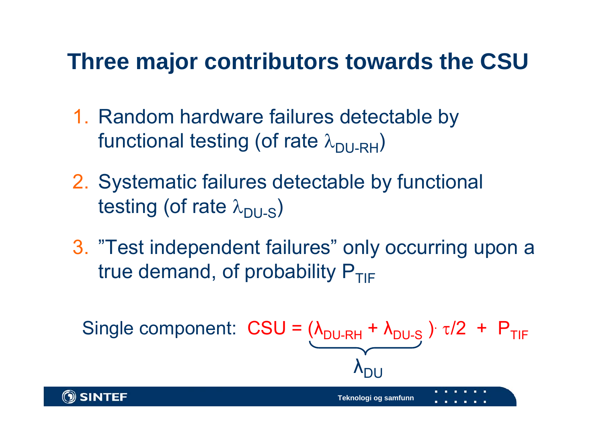### **Three major contributors towards the CSU**

- 1. Random hardware failures detectable by functional testing (of rate  $\lambda_{\text{DILRH}}$ )
- 2. Systematic failures detectable by functional testing (of rate  $\lambda_{\text{DULS}}$ )
- 3. "Test independent failures" only occurring upon a true demand, of probability  $P_{TIF}$

Single component: 
$$
CSU = (\lambda_{DU-RH} + \lambda_{DU} + \lambda_{DU}
$$

\nSince  $\lambda_{DU}$  is the following equation. The following equation is:\n
$$
1 + 1 + 1 + 1 = 0
$$
\n
$$
1 + 1 + 1 + 1 = 0
$$
\n
$$
1 + 1 + 1 + 1 = 0
$$
\n
$$
1 + 1 + 1 + 1 = 0
$$
\n
$$
1 + 1 + 1 + 1 = 0
$$
\n
$$
1 + 1 + 1 + 1 = 0
$$
\n
$$
1 + 1 + 1 + 1 = 0
$$
\n
$$
1 + 1 + 1 + 1 = 0
$$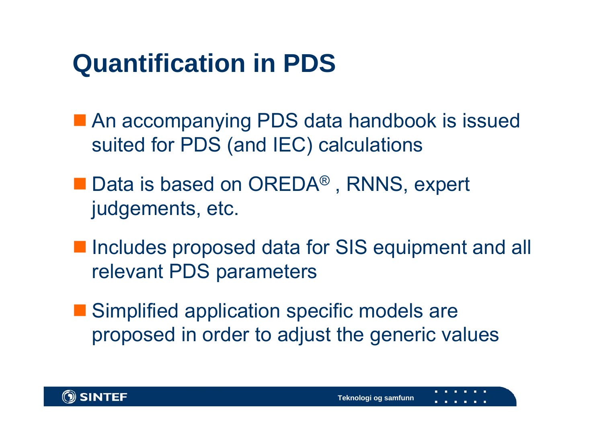## **Quantification in PDS**

- An accompanying PDS data handbook is issued suited for PDS (and IEC) calculations
- Data is based on OREDA<sup>®</sup>, RNNS, expert judgements, etc.
- Includes proposed data for SIS equipment and all relevant PDS parameters
- Simplified application specific models are proposed in order to adjust the generic values

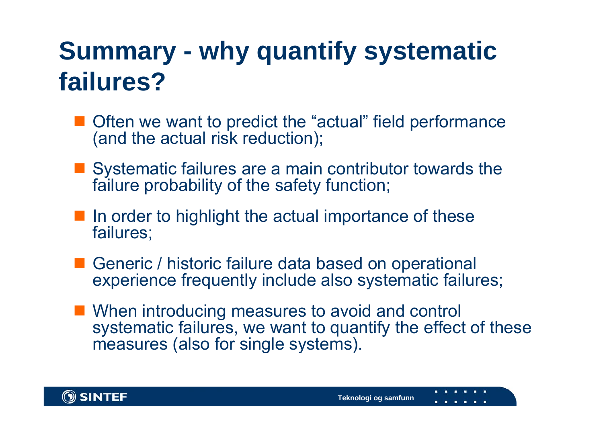# **Summary - why quantify systematic failures?**

- Often we want to predict the "actual" field performance (and the actual risk reduction);
- Systematic failures are a main contributor towards the failure probability of the safety function;
- **If** In order to highlight the actual importance of these failures;
- Generic / historic failure data based on operational experience frequently include also systematic failures;
- When introducing measures to avoid and control systematic failures, we want to quantify the effect of these measures (also for single systems).